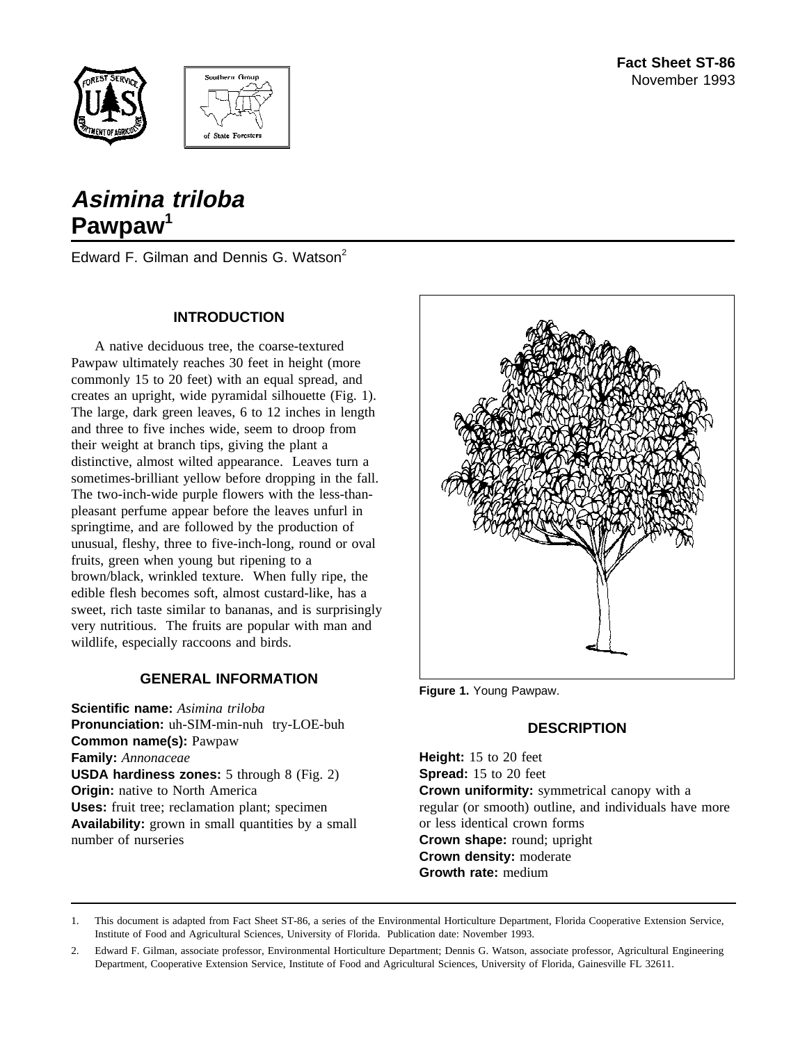



# **Asimina triloba Pawpaw<sup>1</sup>**

Edward F. Gilman and Dennis G. Watson<sup>2</sup>

#### **INTRODUCTION**

A native deciduous tree, the coarse-textured Pawpaw ultimately reaches 30 feet in height (more commonly 15 to 20 feet) with an equal spread, and creates an upright, wide pyramidal silhouette (Fig. 1). The large, dark green leaves, 6 to 12 inches in length and three to five inches wide, seem to droop from their weight at branch tips, giving the plant a distinctive, almost wilted appearance. Leaves turn a sometimes-brilliant yellow before dropping in the fall. The two-inch-wide purple flowers with the less-thanpleasant perfume appear before the leaves unfurl in springtime, and are followed by the production of unusual, fleshy, three to five-inch-long, round or oval fruits, green when young but ripening to a brown/black, wrinkled texture. When fully ripe, the edible flesh becomes soft, almost custard-like, has a sweet, rich taste similar to bananas, and is surprisingly very nutritious. The fruits are popular with man and wildlife, especially raccoons and birds.

#### **GENERAL INFORMATION**

**Scientific name:** *Asimina triloba* **Pronunciation:** uh-SIM-min-nuh try-LOE-buh **Common name(s):** Pawpaw **Family:** *Annonaceae* **USDA hardiness zones:** 5 through 8 (Fig. 2) **Origin:** native to North America **Uses:** fruit tree; reclamation plant; specimen **Availability:** grown in small quantities by a small number of nurseries



**Figure 1.** Young Pawpaw.

#### **DESCRIPTION**

**Height:** 15 to 20 feet **Spread:** 15 to 20 feet **Crown uniformity:** symmetrical canopy with a regular (or smooth) outline, and individuals have more or less identical crown forms **Crown shape:** round; upright **Crown density:** moderate **Growth rate:** medium

1. This document is adapted from Fact Sheet ST-86, a series of the Environmental Horticulture Department, Florida Cooperative Extension Service, Institute of Food and Agricultural Sciences, University of Florida. Publication date: November 1993.

2. Edward F. Gilman, associate professor, Environmental Horticulture Department; Dennis G. Watson, associate professor, Agricultural Engineering Department, Cooperative Extension Service, Institute of Food and Agricultural Sciences, University of Florida, Gainesville FL 32611.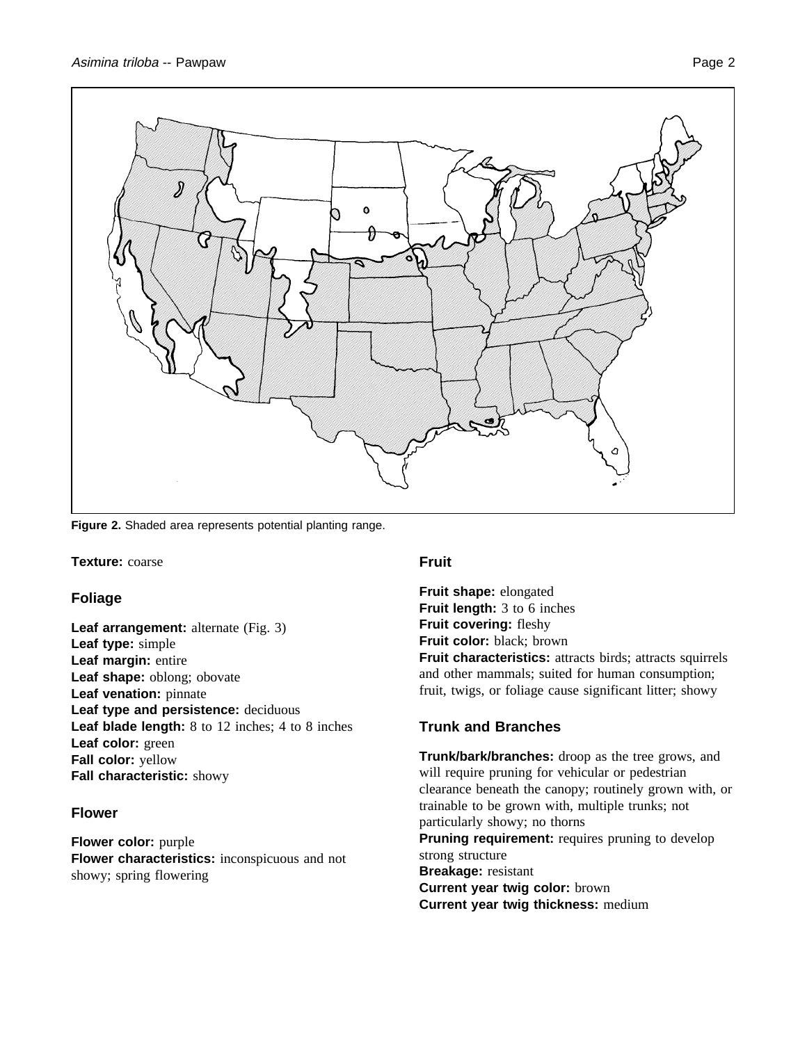

**Figure 2.** Shaded area represents potential planting range.

#### **Texture:** coarse

#### **Foliage**

**Leaf arrangement:** alternate (Fig. 3) **Leaf type:** simple **Leaf margin:** entire **Leaf shape:** oblong; obovate **Leaf venation:** pinnate **Leaf type and persistence:** deciduous **Leaf blade length:** 8 to 12 inches; 4 to 8 inches **Leaf color:** green **Fall color:** yellow **Fall characteristic:** showy

#### **Flower**

**Flower color:** purple **Flower characteristics:** inconspicuous and not showy; spring flowering

#### **Fruit**

**Fruit shape:** elongated **Fruit length:** 3 to 6 inches **Fruit covering:** fleshy **Fruit color:** black; brown **Fruit characteristics:** attracts birds; attracts squirrels and other mammals; suited for human consumption; fruit, twigs, or foliage cause significant litter; showy

## **Trunk and Branches**

**Trunk/bark/branches:** droop as the tree grows, and will require pruning for vehicular or pedestrian clearance beneath the canopy; routinely grown with, or trainable to be grown with, multiple trunks; not particularly showy; no thorns **Pruning requirement:** requires pruning to develop strong structure **Breakage:** resistant **Current year twig color:** brown **Current year twig thickness:** medium